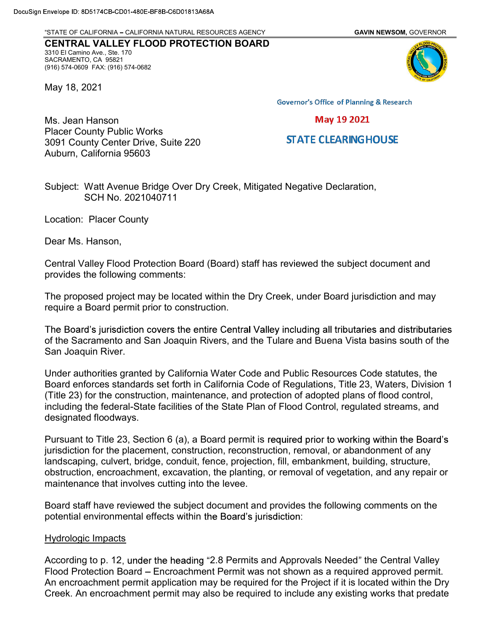"STATE OF CALIFORNIA - CALIFORNIA NATURAL RESOURCES AGENCY GAVIN NEWSOM, GOVERNOR

CENTRAL VALLEY FLOOD PROTECTION BOARD 3310 El Camino Ave., Ste. 170 SACRAMENTO, CA 95821 (916) 574-0609 FAX: (916) 574-0682

May 18, 2021



**Governor's Office of Planning & Research** 

## **May 19 2021**

## **STATE CLEARING HOUSE**

Ms. Jean Hanson Placer County Public Works 3091 County Center Drive, Suite 220 Auburn, California 95603

Subject: Watt Avenue Bridge Over Dry Creek, Mitigated Negative Declaration, SCH No. 2021040711

Location: Placer County

Dear Ms. Hanson,

Central Valley Flood Protection Board (Board) staff has reviewed the subject document and provides the following comments:

The proposed project may be located within the Dry Creek, under Board jurisdiction and may require a Board permit prior to construction.

The Board's jurisdiction covers the entire Central Valley including all tributaries and distributaries of the Sacramento and San Joaquin Rivers, and the Tulare and Buena Vista basins south of the San Joaquin River.

Under authorities granted by California Water Code and Public Resources Code statutes, the Board enforces standards set forth in California Code of Regulations, Title 23, Waters, Division 1 (Title 23) for the construction, maintenance, and protection of adopted plans of flood control, including the federal-State facilities of the State Plan of Flood Control, regulated streams, and designated floodways.

Pursuant to Title 23, Section 6 (a), a Board permit is required prior to working within the Board's jurisdiction for the placement, construction, reconstruction, removal, or abandonment of any landscaping, culvert, bridge, conduit, fence, projection, fill, embankment, building, structure, obstruction, encroachment, excavation, the planting, or removal of vegetation, and any repair or maintenance that involves cutting into the levee.

Board staff have reviewed the subject document and provides the following comments on the potential environmental effects within

## Hydrologic Impacts

According to p. 12, under the heading "2.8 Permits and Approvals Needed" the Central Valley Flood Protection Board Encroachment Permit was not shown as a required approved permit. An encroachment permit application may be required for the Project if it is located within the Dry Creek. An encroachment permit may also be required to include any existing works that predate